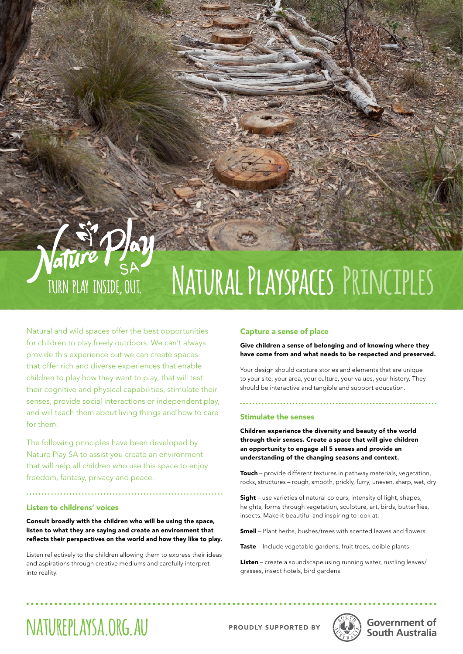## aTU **Natural Playspaces Principles** TURN PLAY INSIDE, OUT.

Natural and wild spaces offer the best opportunities for children to play freely outdoors. We can't always provide this experience but we can create spaces that offer rich and diverse experiences that enable children to play how they want to play, that will test their cognitive and physical capabilities, stimulate their senses, provide social interactions or independent play, and will teach them about living things and how to care for them.

The following principles have been developed by Nature Play SA to assist you create an environment that will help all children who use this space to enjoy freedom, fantasy, privacy and peace.

### Listen to childrens' voices

Consult broadly with the children who will be using the space, listen to what they are saying and create an environment that reflects their perspectives on the world and how they like to play.

Listen reflectively to the children allowing them to express their ideas and aspirations through creative mediums and carefully interpret into reality.

### Capture a sense of place

Give children a sense of belonging and of knowing where they have come from and what needs to be respected and preserved.

Your design should capture stories and elements that are unique to your site, your area, your culture, your values, your history. They should be interactive and tangible and support education.

### Stimulate the senses

Children experience the diversity and beauty of the world through their senses. Create a space that will give children an opportunity to engage all 5 senses and provide an understanding of the changing seasons and context.

**Touch** – provide different textures in pathway materials, vegetation, rocks, structures – rough, smooth, prickly, furry, uneven, sharp, wet, dry

Sight – use varieties of natural colours, intensity of light, shapes, heights, forms through vegetation, sculpture, art, birds, butterflies, insects. Make it beautiful and inspiring to look at.

Smell - Plant herbs, bushes/trees with scented leaves and flowers

Taste – Include vegetable gardens, fruit trees, edible plants

Listen – create a soundscape using running water, rustling leaves/ grasses, insect hotels, bird gardens.

### NATUREPLAYSA.ORG.AU PROUDLY SUPPORTED BY